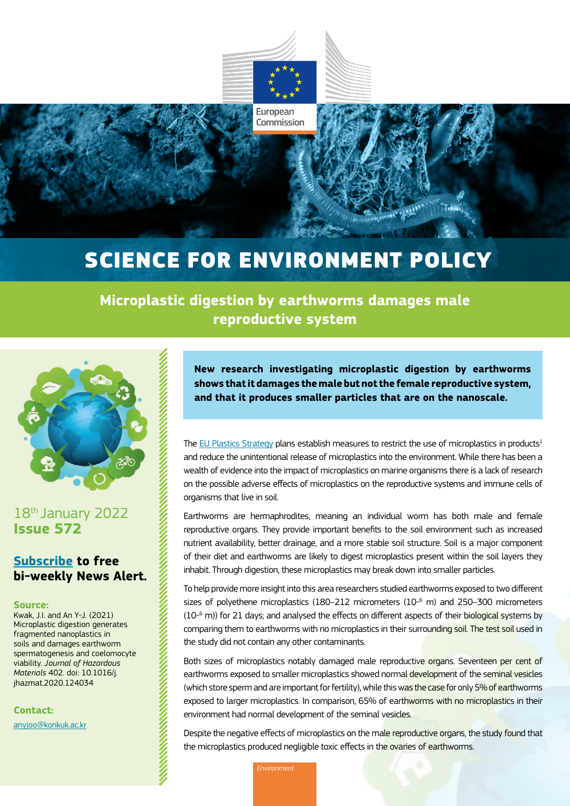

European Commission

# SCIENCE FOR ENVIRONMENT POLICY

**Microplastic digestion by earthworms damages male reproductive system** 



18<sup>th</sup> January 2022 **Issue 572**

## **[Subscribe](https://ec.europa.eu/newsroom/env/userprofile.cfm?profileAction=edit&user_id=0&service_id=1701&lang=default) to free bi-weekly News Alert.**

#### **Source:**

Kwak, J.I. and An Y-J. (2021) Microplastic digestion generates fragmented nanoplastics in soils and damages earthworm spermatogenesis and coelomocyte viability. *Journal of Hazardous Materials* 402. doi: 10.1016/j. jhazmat.2020.124034

**Contact:**

[anyjoo@konkuk.ac.kr](mailto:anyjoo%40konkuk.ac.kr?subject=)

**New research investigating microplastic digestion by earthworms shows that it damages the male but not the female reproductive system, and that it produces smaller particles that are on the nanoscale.** 

The [EU Plastics Strategy](https://ec.europa.eu/environment/strategy/plastics-strategy_en) plans establish measures to restrict the use of microplastics in products<sup>1</sup> and reduce the unintentional release of microplastics into the environment. While there has been a wealth of evidence into the impact of microplastics on marine organisms there is a lack of research on the possible adverse effects of microplastics on the reproductive systems and immune cells of organisms that live in soil.

Earthworms are hermaphrodites, meaning an individual worm has both male and female reproductive organs. They provide important benefits to the soil environment such as increased nutrient availability, better drainage, and a more stable soil structure. Soil is a major component of their diet and earthworms are likely to digest microplastics present within the soil layers they inhabit. Through digestion, these microplastics may break down into smaller particles.

To help provide more insight into this area researchers studied earthworms exposed to two different sizes of polyethene microplastics (180–212 micrometers (10-6 m) and 250–300 micrometers (10<sup>\_6</sup> m)) for 21 days; and analysed the effects on different aspects of their biological systems by comparing them to earthworms with no microplastics in their surrounding soil. The test soil used in the study did not contain any other contaminants.

Both sizes of microplastics notably damaged male reproductive organs. Seventeen per cent of earthworms exposed to smaller microplastics showed normal development of the seminal vesicles (which store sperm and are important for fertility), while this was the case for only 5% of earthworms exposed to larger microplastics. In comparison, 65% of earthworms with no microplastics in their environment had normal development of the seminal vesicles.

Despite the negative effects of microplastics on the male reproductive organs, the study found that the microplastics produced negligible toxic effects in the ovaries of earthworms.

*Environment*